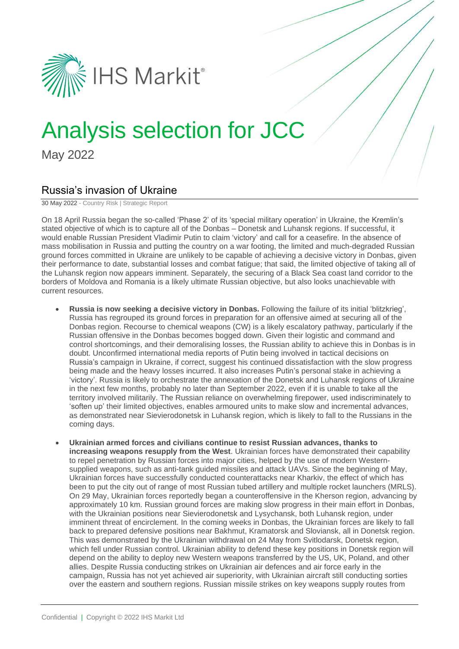

# Analysis selection for JCC

May 2022

## Russia's invasion of Ukraine

30 May 2022 - Country Risk | Strategic Report

On 18 April Russia began the so-called 'Phase 2' of its 'special military operation' in Ukraine, the Kremlin's stated objective of which is to capture all of the Donbas – Donetsk and Luhansk regions. If successful, it would enable Russian President Vladimir Putin to claim 'victory' and call for a ceasefire. In the absence of mass mobilisation in Russia and putting the country on a war footing, the limited and much-degraded Russian ground forces committed in Ukraine are unlikely to be capable of achieving a decisive victory in Donbas, given their performance to date, substantial losses and combat fatigue; that said, the limited objective of taking all of the Luhansk region now appears imminent. Separately, the securing of a Black Sea coast land corridor to the borders of Moldova and Romania is a likely ultimate Russian objective, but also looks unachievable with current resources.

- **Russia is now seeking a decisive victory in Donbas.** Following the failure of its initial 'blitzkrieg', Russia has regrouped its ground forces in preparation for an offensive aimed at securing all of the Donbas region. Recourse to chemical weapons (CW) is a likely escalatory pathway, particularly if the Russian offensive in the Donbas becomes bogged down. Given their logistic and command and control shortcomings, and their demoralising losses, the Russian ability to achieve this in Donbas is in doubt. Unconfirmed international media reports of Putin being involved in tactical decisions on Russia's campaign in Ukraine, if correct, suggest his continued dissatisfaction with the slow progress being made and the heavy losses incurred. It also increases Putin's personal stake in achieving a 'victory'. Russia is likely to orchestrate the annexation of the Donetsk and Luhansk regions of Ukraine in the next few months, probably no later than September 2022, even if it is unable to take all the territory involved militarily. The Russian reliance on overwhelming firepower, used indiscriminately to 'soften up' their limited objectives, enables armoured units to make slow and incremental advances, as demonstrated near Sievierodonetsk in Luhansk region, which is likely to fall to the Russians in the coming days.
- **Ukrainian armed forces and civilians continue to resist Russian advances, thanks to increasing weapons resupply from the West**. Ukrainian forces have demonstrated their capability to repel penetration by Russian forces into major cities, helped by the use of modern Westernsupplied weapons, such as anti-tank guided missiles and attack UAVs. Since the beginning of May, Ukrainian forces have successfully conducted counterattacks near Kharkiv, the effect of which has been to put the city out of range of most Russian tubed artillery and multiple rocket launchers (MRLS). On 29 May, Ukrainian forces reportedly began a counteroffensive in the Kherson region, advancing by approximately 10 km. Russian ground forces are making slow progress in their main effort in Donbas, with the Ukrainian positions near Sievierodonetsk and Lysychansk, both Luhansk region, under imminent threat of encirclement. In the coming weeks in Donbas, the Ukrainian forces are likely to fall back to prepared defensive positions near Bakhmut, Kramatorsk and Sloviansk, all in Donetsk region. This was demonstrated by the Ukrainian withdrawal on 24 May from Svitlodarsk, Donetsk region, which fell under Russian control. Ukrainian ability to defend these key positions in Donetsk region will depend on the ability to deploy new Western weapons transferred by the US, UK, Poland, and other allies. Despite Russia conducting strikes on Ukrainian air defences and air force early in the campaign, Russia has not yet achieved air superiority, with Ukrainian aircraft still conducting sorties over the eastern and southern regions. Russian missile strikes on key weapons supply routes from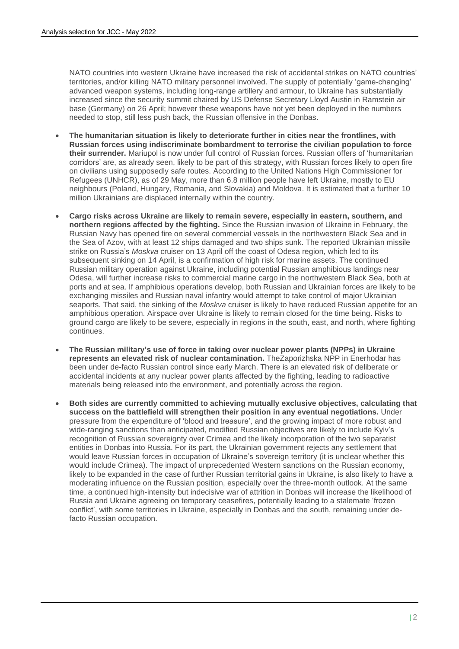NATO countries into western Ukraine have increased the risk of accidental strikes on NATO countries' territories, and/or killing NATO military personnel involved. The supply of potentially 'game-changing' advanced weapon systems, including long-range artillery and armour, to Ukraine has substantially increased since the security summit chaired by US Defense Secretary Lloyd Austin in Ramstein air base (Germany) on 26 April; however these weapons have not yet been deployed in the numbers needed to stop, still less push back, the Russian offensive in the Donbas.

- **The humanitarian situation is likely to deteriorate further in cities near the frontlines, with Russian forces using indiscriminate bombardment to terrorise the civilian population to force their surrender.** Mariupol is now under full control of Russian forces. Russian offers of 'humanitarian corridors' are, as already seen, likely to be part of this strategy, with Russian forces likely to open fire on civilians using supposedly safe routes. According to the United Nations High Commissioner for Refugees (UNHCR), as of 29 May, more than 6.8 million people have left Ukraine, mostly to EU neighbours (Poland, Hungary, Romania, and Slovakia) and Moldova. It is estimated that a further 10 million Ukrainians are displaced internally within the country.
- **Cargo risks across Ukraine are likely to remain severe, especially in eastern, southern, and northern regions affected by the fighting.** Since the Russian invasion of Ukraine in February, the Russian Navy has opened fire on several commercial vessels in the northwestern Black Sea and in the Sea of Azov, with at least 12 ships damaged and two ships sunk. The reported Ukrainian missile strike on Russia's *Moskva* cruiser on 13 April off the coast of Odesa region, which led to its subsequent sinking on 14 April, is a confirmation of high risk for marine assets. The continued Russian military operation against Ukraine, including potential Russian amphibious landings near Odesa, will further increase risks to commercial marine cargo in the northwestern Black Sea, both at ports and at sea. If amphibious operations develop, both Russian and Ukrainian forces are likely to be exchanging missiles and Russian naval infantry would attempt to take control of major Ukrainian seaports. That said, the sinking of the *Moskva* cruiser is likely to have reduced Russian appetite for an amphibious operation. Airspace over Ukraine is likely to remain closed for the time being. Risks to ground cargo are likely to be severe, especially in regions in the south, east, and north, where fighting continues.
- **The Russian military's use of force in taking over nuclear power plants (NPPs) in Ukraine represents an elevated risk of nuclear contamination.** TheZaporizhska NPP in Enerhodar has been under de-facto Russian control since early March. There is an elevated risk of deliberate or accidental incidents at any nuclear power plants affected by the fighting, leading to radioactive materials being released into the environment, and potentially across the region.
- **Both sides are currently committed to achieving mutually exclusive objectives, calculating that success on the battlefield will strengthen their position in any eventual negotiations.** Under pressure from the expenditure of 'blood and treasure', and the growing impact of more robust and wide-ranging sanctions than anticipated, modified Russian objectives are likely to include Kyiv's recognition of Russian sovereignty over Crimea and the likely incorporation of the two separatist entities in Donbas into Russia. For its part, the Ukrainian government rejects any settlement that would leave Russian forces in occupation of Ukraine's sovereign territory (it is unclear whether this would include Crimea). The impact of unprecedented Western sanctions on the Russian economy, likely to be expanded in the case of further Russian territorial gains in Ukraine, is also likely to have a moderating influence on the Russian position, especially over the three-month outlook. At the same time, a continued high-intensity but indecisive war of attrition in Donbas will increase the likelihood of Russia and Ukraine agreeing on temporary ceasefires, potentially leading to a stalemate 'frozen conflict', with some territories in Ukraine, especially in Donbas and the south, remaining under defacto Russian occupation.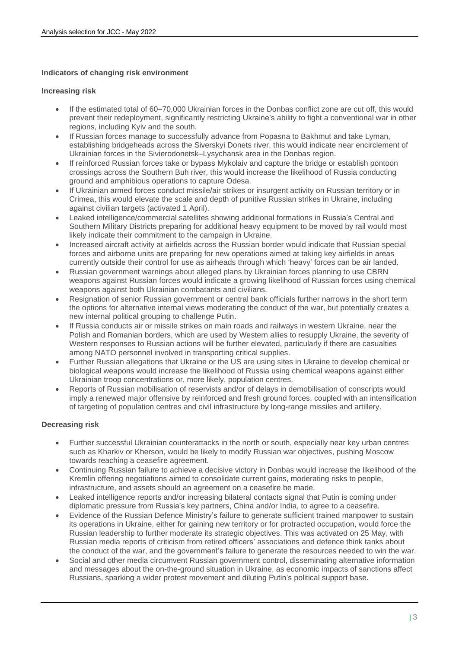## **Indicators of changing risk environment**

### **Increasing risk**

- If the estimated total of 60–70,000 Ukrainian forces in the Donbas conflict zone are cut off, this would prevent their redeployment, significantly restricting Ukraine's ability to fight a conventional war in other regions, including Kyiv and the south.
- If Russian forces manage to successfully advance from Popasna to Bakhmut and take Lyman, establishing bridgeheads across the Siverskyi Donets river, this would indicate near encirclement of Ukrainian forces in the Sivierodonetsk–Lysychansk area in the Donbas region.
- If reinforced Russian forces take or bypass Mykolaiv and capture the bridge or establish pontoon crossings across the Southern Buh river, this would increase the likelihood of Russia conducting ground and amphibious operations to capture Odesa.
- If Ukrainian armed forces conduct missile/air strikes or insurgent activity on Russian territory or in Crimea, this would elevate the scale and depth of punitive Russian strikes in Ukraine, including against civilian targets (activated 1 April).
- Leaked intelligence/commercial satellites showing additional formations in Russia's Central and Southern Military Districts preparing for additional heavy equipment to be moved by rail would most likely indicate their commitment to the campaign in Ukraine.
- Increased aircraft activity at airfields across the Russian border would indicate that Russian special forces and airborne units are preparing for new operations aimed at taking key airfields in areas currently outside their control for use as airheads through which 'heavy' forces can be air landed.
- Russian government warnings about alleged plans by Ukrainian forces planning to use CBRN weapons against Russian forces would indicate a growing likelihood of Russian forces using chemical weapons against both Ukrainian combatants and civilians.
- Resignation of senior Russian government or central bank officials further narrows in the short term the options for alternative internal views moderating the conduct of the war, but potentially creates a new internal political grouping to challenge Putin.
- If Russia conducts air or missile strikes on main roads and railways in western Ukraine, near the Polish and Romanian borders, which are used by Western allies to resupply Ukraine, the severity of Western responses to Russian actions will be further elevated, particularly if there are casualties among NATO personnel involved in transporting critical supplies.
- Further Russian allegations that Ukraine or the US are using sites in Ukraine to develop chemical or biological weapons would increase the likelihood of Russia using chemical weapons against either Ukrainian troop concentrations or, more likely, population centres.
- Reports of Russian mobilisation of reservists and/or of delays in demobilisation of conscripts would imply a renewed major offensive by reinforced and fresh ground forces, coupled with an intensification of targeting of population centres and civil infrastructure by long-range missiles and artillery.

## **Decreasing risk**

- Further successful Ukrainian counterattacks in the north or south, especially near key urban centres such as Kharkiv or Kherson, would be likely to modify Russian war objectives, pushing Moscow towards reaching a ceasefire agreement.
- Continuing Russian failure to achieve a decisive victory in Donbas would increase the likelihood of the Kremlin offering negotiations aimed to consolidate current gains, moderating risks to people, infrastructure, and assets should an agreement on a ceasefire be made.
- Leaked intelligence reports and/or increasing bilateral contacts signal that Putin is coming under diplomatic pressure from Russia's key partners, China and/or India, to agree to a ceasefire.
- Evidence of the Russian Defence Ministry's failure to generate sufficient trained manpower to sustain its operations in Ukraine, either for gaining new territory or for protracted occupation, would force the Russian leadership to further moderate its strategic objectives. This was activated on 25 May, with Russian media reports of criticism from retired officers' associations and defence think tanks about the conduct of the war, and the government's failure to generate the resources needed to win the war.
- Social and other media circumvent Russian government control, disseminating alternative information and messages about the on-the-ground situation in Ukraine, as economic impacts of sanctions affect Russians, sparking a wider protest movement and diluting Putin's political support base.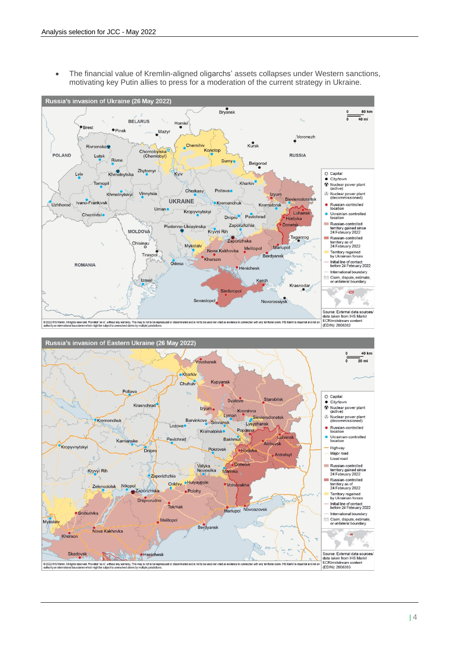• The financial value of Kremlin-aligned oligarchs' assets collapses under Western sanctions, motivating key Putin allies to press for a moderation of the current strategy in Ukraine.

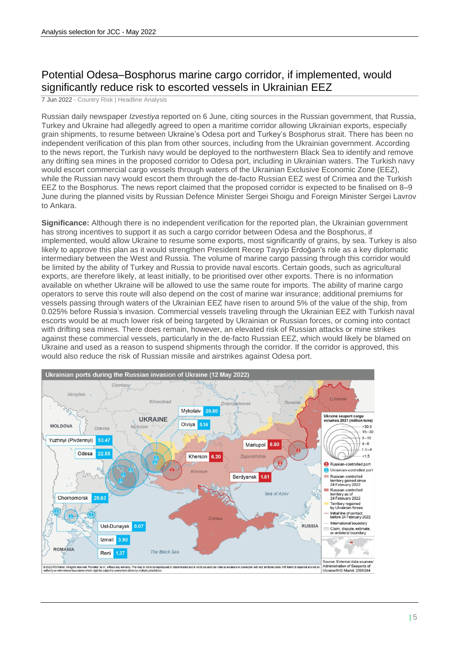# Potential Odesa–Bosphorus marine cargo corridor, if implemented, would significantly reduce risk to escorted vessels in Ukrainian EEZ

7 Jun 2022 - Country Risk | Headline Analysis

Russian daily newspaper *Izvestiya* reported on 6 June, citing sources in the Russian government, that Russia, Turkey and Ukraine had allegedly agreed to open a maritime corridor allowing Ukrainian exports, especially grain shipments, to resume between Ukraine's Odesa port and Turkey's Bosphorus strait. There has been no independent verification of this plan from other sources, including from the Ukrainian government. According to the news report, the Turkish navy would be deployed to the northwestern Black Sea to identify and remove any drifting sea mines in the proposed corridor to Odesa port, including in Ukrainian waters. The Turkish navy would escort commercial cargo vessels through waters of the Ukrainian Exclusive Economic Zone (EEZ), while the Russian navy would escort them through the de-facto Russian EEZ west of Crimea and the Turkish EEZ to the Bosphorus. The news report claimed that the proposed corridor is expected to be finalised on 8–9 June during the planned visits by Russian Defence Minister Sergei Shoigu and Foreign Minister Sergei Lavrov to Ankara.

**Significance:** Although there is no independent verification for the reported plan, the Ukrainian government has strong incentives to support it as such a cargo corridor between Odesa and the Bosphorus, if implemented, would allow Ukraine to resume some exports, most significantly of grains, by sea. Turkey is also likely to approve this plan as it would strengthen President Recep Tayyip Erdoğan's role as a key diplomatic intermediary between the West and Russia. The volume of marine cargo passing through this corridor would be limited by the ability of Turkey and Russia to provide naval escorts. Certain goods, such as agricultural exports, are therefore likely, at least initially, to be prioritised over other exports. There is no information available on whether Ukraine will be allowed to use the same route for imports. The ability of marine cargo operators to serve this route will also depend on the cost of marine war insurance; additional premiums for vessels passing through waters of the Ukrainian EEZ have risen to around 5% of the value of the ship, from 0.025% before Russia's invasion. Commercial vessels traveling through the Ukrainian EEZ with Turkish naval escorts would be at much lower risk of being targeted by Ukrainian or Russian forces, or coming into contact with drifting sea mines. There does remain, however, an elevated risk of Russian attacks or mine strikes against these commercial vessels, particularly in the de-facto Russian EEZ, which would likely be blamed on Ukraine and used as a reason to suspend shipments through the corridor. If the corridor is approved, this would also reduce the risk of Russian missile and airstrikes against Odesa port.

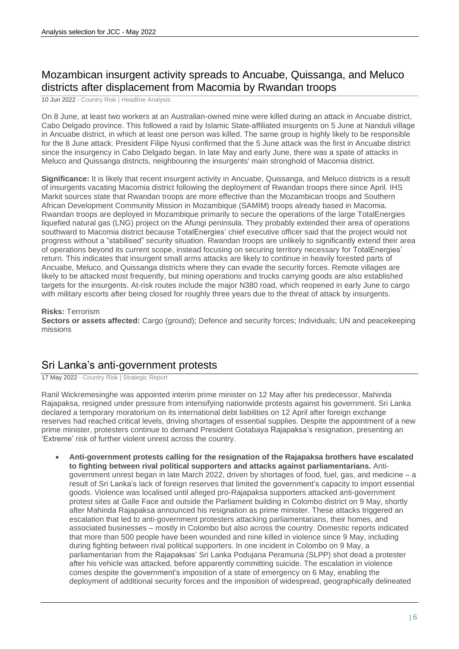# Mozambican insurgent activity spreads to Ancuabe, Quissanga, and Meluco districts after displacement from Macomia by Rwandan troops

10 Jun 2022 - Country Risk | Headline Analysis

On 8 June, at least two workers at an Australian-owned mine were killed during an attack in Ancuabe district, Cabo Delgado province. This followed a raid by Islamic State-affiliated insurgents on 5 June at Nanduli village in Ancuabe district, in which at least one person was killed. The same group is highly likely to be responsible for the 8 June attack. President Filipe Nyusi confirmed that the 5 June attack was the first in Ancuabe district since the insurgency in Cabo Delgado began. In late May and early June, there was a spate of attacks in Meluco and Quissanga districts, neighbouring the insurgents' main stronghold of Macomia district.

**Significance:** It is likely that recent insurgent activity in Ancuabe, Quissanga, and Meluco districts is a result of insurgents vacating Macomia district following the deployment of Rwandan troops there since April. IHS Markit sources state that Rwandan troops are more effective than the Mozambican troops and Southern African Development Community Mission in Mozambique (SAMIM) troops already based in Macomia. Rwandan troops are deployed in Mozambique primarily to secure the operations of the large TotalEnergies liquefied natural gas (LNG) project on the Afungi peninsula. They probably extended their area of operations southward to Macomia district because TotalEnergies' chief executive officer said that the project would not progress without a "stabilised" security situation. Rwandan troops are unlikely to significantly extend their area of operations beyond its current scope, instead focusing on securing territory necessary for TotalEnergies' return. This indicates that insurgent small arms attacks are likely to continue in heavily forested parts of Ancuabe, Meluco, and Quissanga districts where they can evade the security forces. Remote villages are likely to be attacked most frequently, but mining operations and trucks carrying goods are also established targets for the insurgents. At-risk routes include the major N380 road, which reopened in early June to cargo with military escorts after being closed for roughly three years due to the threat of attack by insurgents.

#### **Risks:** Terrorism

**Sectors or assets affected:** Cargo (ground); Defence and security forces; Individuals; UN and peacekeeping missions

## Sri Lanka's anti-government protests

17 May 2022 - Country Risk | Strategic Report

Ranil Wickremesinghe was appointed interim prime minister on 12 May after his predecessor, Mahinda Rajapaksa, resigned under pressure from intensifying nationwide protests against his government. Sri Lanka declared a temporary moratorium on its international debt liabilities on 12 April after foreign exchange reserves had reached critical levels, driving shortages of essential supplies. Despite the appointment of a new prime minister, protesters continue to demand President Gotabaya Rajapaksa's resignation, presenting an 'Extreme' risk of further violent unrest across the country.

• **Anti-government protests calling for the resignation of the Rajapaksa brothers have escalated to fighting between rival political supporters and attacks against parliamentarians.** Antigovernment unrest began in late March 2022, driven by shortages of food, fuel, gas, and medicine – a result of Sri Lanka's lack of foreign reserves that limited the government's capacity to import essential goods. Violence was localised until alleged pro-Rajapaksa supporters attacked anti-government protest sites at Galle Face and outside the Parliament building in Colombo district on 9 May, shortly after Mahinda Rajapaksa announced his resignation as prime minister. These attacks triggered an escalation that led to anti-government protesters attacking parliamentarians, their homes, and associated businesses – mostly in Colombo but also across the country. Domestic reports indicated that more than 500 people have been wounded and nine killed in violence since 9 May, including during fighting between rival political supporters. In one incident in Colombo on 9 May, a parliamentarian from the Rajapaksas' Sri Lanka Podujana Peramuna (SLPP) shot dead a protester after his vehicle was attacked, before apparently committing suicide. The escalation in violence comes despite the government's imposition of a state of emergency on 6 May, enabling the deployment of additional security forces and the imposition of widespread, geographically delineated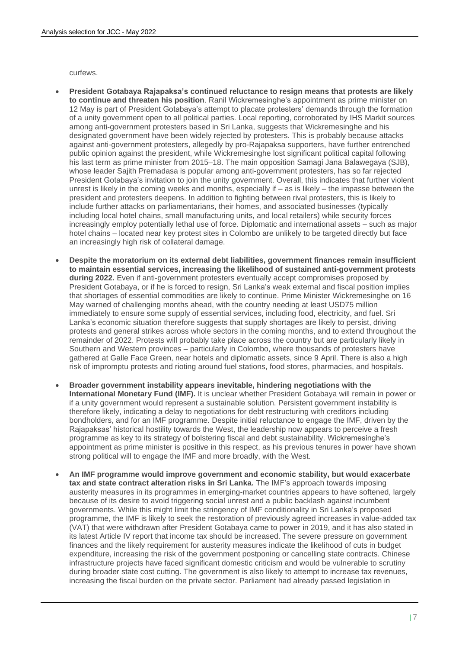curfews.

- **President Gotabaya Rajapaksa's continued reluctance to resign means that protests are likely to continue and threaten his position**. Ranil Wickremesinghe's appointment as prime minister on 12 May is part of President Gotabaya's attempt to placate protesters' demands through the formation of a unity government open to all political parties. Local reporting, corroborated by IHS Markit sources among anti-government protesters based in Sri Lanka, suggests that Wickremesinghe and his designated government have been widely rejected by protesters. This is probably because attacks against anti-government protesters, allegedly by pro-Rajapaksa supporters, have further entrenched public opinion against the president, while Wickremesinghe lost significant political capital following his last term as prime minister from 2015–18. The main opposition Samagi Jana Balawegaya (SJB), whose leader Sajith Premadasa is popular among anti-government protesters, has so far rejected President Gotabaya's invitation to join the unity government. Overall, this indicates that further violent unrest is likely in the coming weeks and months, especially if – as is likely – the impasse between the president and protesters deepens. In addition to fighting between rival protesters, this is likely to include further attacks on parliamentarians, their homes, and associated businesses (typically including local hotel chains, small manufacturing units, and local retailers) while security forces increasingly employ potentially lethal use of force. Diplomatic and international assets – such as major hotel chains – located near key protest sites in Colombo are unlikely to be targeted directly but face an increasingly high risk of collateral damage.
- **Despite the moratorium on its external debt liabilities, government finances remain insufficient to maintain essential services, increasing the likelihood of sustained anti-government protests during 2022.** Even if anti-government protesters eventually accept compromises proposed by President Gotabaya, or if he is forced to resign, Sri Lanka's weak external and fiscal position implies that shortages of essential commodities are likely to continue. Prime Minister Wickremesinghe on 16 May warned of challenging months ahead, with the country needing at least USD75 million immediately to ensure some supply of essential services, including food, electricity, and fuel. Sri Lanka's economic situation therefore suggests that supply shortages are likely to persist, driving protests and general strikes across whole sectors in the coming months, and to extend throughout the remainder of 2022. Protests will probably take place across the country but are particularly likely in Southern and Western provinces – particularly in Colombo, where thousands of protesters have gathered at Galle Face Green, near hotels and diplomatic assets, since 9 April. There is also a high risk of impromptu protests and rioting around fuel stations, food stores, pharmacies, and hospitals.
- **Broader government instability appears inevitable, hindering negotiations with the International Monetary Fund (IMF).** It is unclear whether President Gotabaya will remain in power or if a unity government would represent a sustainable solution. Persistent government instability is therefore likely, indicating a delay to negotiations for debt restructuring with creditors including bondholders, and for an IMF programme. Despite initial reluctance to engage the IMF, driven by the Rajapaksas' historical hostility towards the West, the leadership now appears to perceive a fresh programme as key to its strategy of bolstering fiscal and debt sustainability. Wickremesinghe's appointment as prime minister is positive in this respect, as his previous tenures in power have shown strong political will to engage the IMF and more broadly, with the West.
- **An IMF programme would improve government and economic stability, but would exacerbate tax and state contract alteration risks in Sri Lanka.** The IMF's approach towards imposing austerity measures in its programmes in emerging-market countries appears to have softened, largely because of its desire to avoid triggering social unrest and a public backlash against incumbent governments. While this might limit the stringency of IMF conditionality in Sri Lanka's proposed programme, the IMF is likely to seek the restoration of previously agreed increases in value-added tax (VAT) that were withdrawn after President Gotabaya came to power in 2019, and it has also stated in its latest Article IV report that income tax should be increased. The severe pressure on government finances and the likely requirement for austerity measures indicate the likelihood of cuts in budget expenditure, increasing the risk of the government postponing or cancelling state contracts. Chinese infrastructure projects have faced significant domestic criticism and would be vulnerable to scrutiny during broader state cost cutting. The government is also likely to attempt to increase tax revenues, increasing the fiscal burden on the private sector. Parliament had already passed legislation in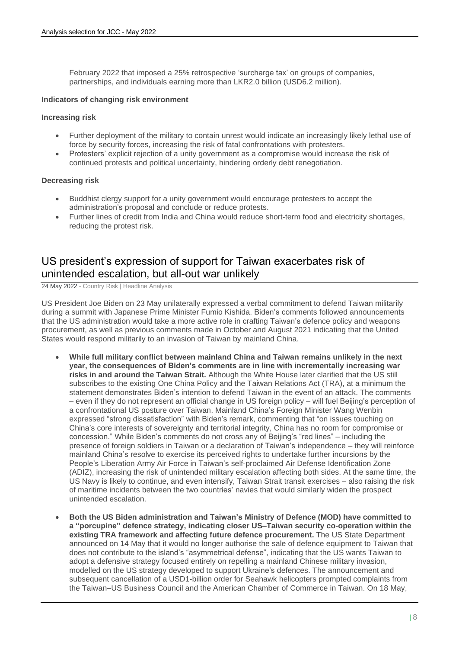February 2022 that imposed a 25% retrospective 'surcharge tax' on groups of companies, partnerships, and individuals earning more than LKR2.0 billion (USD6.2 million).

#### **Indicators of changing risk environment**

#### **Increasing risk**

- Further deployment of the military to contain unrest would indicate an increasingly likely lethal use of force by security forces, increasing the risk of fatal confrontations with protesters.
- Protesters' explicit rejection of a unity government as a compromise would increase the risk of continued protests and political uncertainty, hindering orderly debt renegotiation.

#### **Decreasing risk**

- Buddhist clergy support for a unity government would encourage protesters to accept the administration's proposal and conclude or reduce protests.
- Further lines of credit from India and China would reduce short-term food and electricity shortages, reducing the protest risk.

## US president's expression of support for Taiwan exacerbates risk of unintended escalation, but all-out war unlikely

24 May 2022 - Country Risk | Headline Analysis

US President Joe Biden on 23 May unilaterally expressed a verbal commitment to defend Taiwan militarily during a summit with Japanese Prime Minister Fumio Kishida. Biden's comments followed announcements that the US administration would take a more active role in crafting Taiwan's defence policy and weapons procurement, as well as previous comments made in October and August 2021 indicating that the United States would respond militarily to an invasion of Taiwan by mainland China.

- **While full military conflict between mainland China and Taiwan remains unlikely in the next year, the consequences of Biden's comments are in line with incrementally increasing war risks in and around the Taiwan Strait.** Although the White House later clarified that the US still subscribes to the existing One China Policy and the Taiwan Relations Act (TRA), at a minimum the statement demonstrates Biden's intention to defend Taiwan in the event of an attack. The comments – even if they do not represent an official change in US foreign policy – will fuel Beijing's perception of a confrontational US posture over Taiwan. Mainland China's Foreign Minister Wang Wenbin expressed "strong dissatisfaction" with Biden's remark, commenting that "on issues touching on China's core interests of sovereignty and territorial integrity, China has no room for compromise or concession." While Biden's comments do not cross any of Beijing's "red lines" – including the presence of foreign soldiers in Taiwan or a declaration of Taiwan's independence – they will reinforce mainland China's resolve to exercise its perceived rights to undertake further incursions by the People's Liberation Army Air Force in Taiwan's self-proclaimed Air Defense Identification Zone (ADIZ), increasing the risk of unintended military escalation affecting both sides. At the same time, the US Navy is likely to continue, and even intensify, Taiwan Strait transit exercises – also raising the risk of maritime incidents between the two countries' navies that would similarly widen the prospect unintended escalation.
- **Both the US Biden administration and Taiwan's Ministry of Defence (MOD) have committed to a "porcupine" defence strategy, indicating closer US–Taiwan security co-operation within the existing TRA framework and affecting future defence procurement.** The US State Department announced on 14 May that it would no longer authorise the sale of defence equipment to Taiwan that does not contribute to the island's "asymmetrical defense", indicating that the US wants Taiwan to adopt a defensive strategy focused entirely on repelling a mainland Chinese military invasion, modelled on the US strategy developed to support Ukraine's defences. The announcement and subsequent cancellation of a USD1-billion order for Seahawk helicopters prompted complaints from the Taiwan–US Business Council and the American Chamber of Commerce in Taiwan. On 18 May,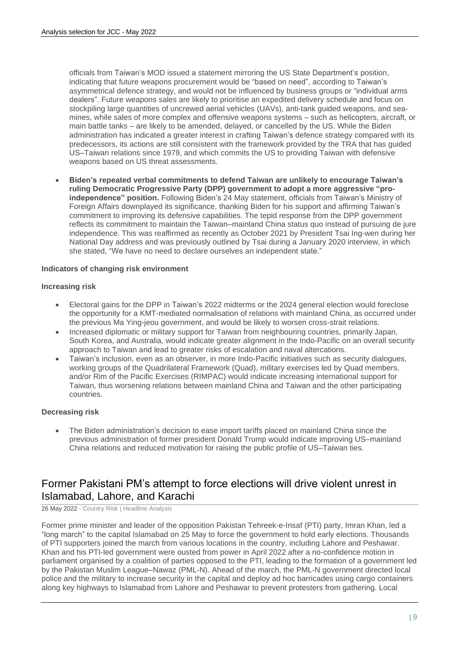officials from Taiwan's MOD issued a statement mirroring the US State Department's position, indicating that future weapons procurement would be "based on need", according to Taiwan's asymmetrical defence strategy, and would not be influenced by business groups or "individual arms dealers". Future weapons sales are likely to prioritise an expedited delivery schedule and focus on stockpiling large quantities of uncrewed aerial vehicles (UAVs), anti-tank guided weapons, and seamines, while sales of more complex and offensive weapons systems – such as helicopters, aircraft, or main battle tanks – are likely to be amended, delayed, or cancelled by the US. While the Biden administration has indicated a greater interest in crafting Taiwan's defence strategy compared with its predecessors, its actions are still consistent with the framework provided by the TRA that has guided US–Taiwan relations since 1979, and which commits the US to providing Taiwan with defensive weapons based on US threat assessments.

• **Biden's repeated verbal commitments to defend Taiwan are unlikely to encourage Taiwan's ruling Democratic Progressive Party (DPP) government to adopt a more aggressive "proindependence" position.** Following Biden's 24 May statement, officials from Taiwan's Ministry of Foreign Affairs downplayed its significance, thanking Biden for his support and affirming Taiwan's commitment to improving its defensive capabilities. The tepid response from the DPP government reflects its commitment to maintain the Taiwan–mainland China status quo instead of pursuing de jure independence. This was reaffirmed as recently as October 2021 by President Tsai Ing-wen during her National Day address and was previously outlined by Tsai during a January 2020 interview, in which she stated, "We have no need to declare ourselves an independent state."

### **Indicators of changing risk environment**

#### **Increasing risk**

- Electoral gains for the DPP in Taiwan's 2022 midterms or the 2024 general election would foreclose the opportunity for a KMT-mediated normalisation of relations with mainland China, as occurred under the previous Ma Ying-jeou government, and would be likely to worsen cross-strait relations.
- Increased diplomatic or military support for Taiwan from neighbouring countries, primarily Japan, South Korea, and Australia, would indicate greater alignment in the Indo-Pacific on an overall security approach to Taiwan and lead to greater risks of escalation and naval altercations.
- Taiwan's inclusion, even as an observer, in more Indo-Pacific initiatives such as security dialogues, working groups of the Quadrilateral Framework (Quad), military exercises led by Quad members, and/or Rim of the Pacific Exercises (RIMPAC) would indicate increasing international support for Taiwan, thus worsening relations between mainland China and Taiwan and the other participating countries.

### **Decreasing risk**

• The Biden administration's decision to ease import tariffs placed on mainland China since the previous administration of former president Donald Trump would indicate improving US–mainland China relations and reduced motivation for raising the public profile of US–Taiwan ties.

## Former Pakistani PM's attempt to force elections will drive violent unrest in Islamabad, Lahore, and Karachi

26 May 2022 - Country Risk | Headline Analysis

Former prime minister and leader of the opposition Pakistan Tehreek-e-Insaf (PTI) party, Imran Khan, led a "long march" to the capital Islamabad on 25 May to force the government to hold early elections. Thousands of PTI supporters joined the march from various locations in the country, including Lahore and Peshawar. Khan and his PTI-led government were ousted from power in April 2022 after a no-confidence motion in parliament organised by a coalition of parties opposed to the PTI, leading to the formation of a government led by the Pakistan Muslim League–Nawaz (PML-N). Ahead of the march, the PML-N government directed local police and the military to increase security in the capital and deploy ad hoc barricades using cargo containers along key highways to Islamabad from Lahore and Peshawar to prevent protesters from gathering. Local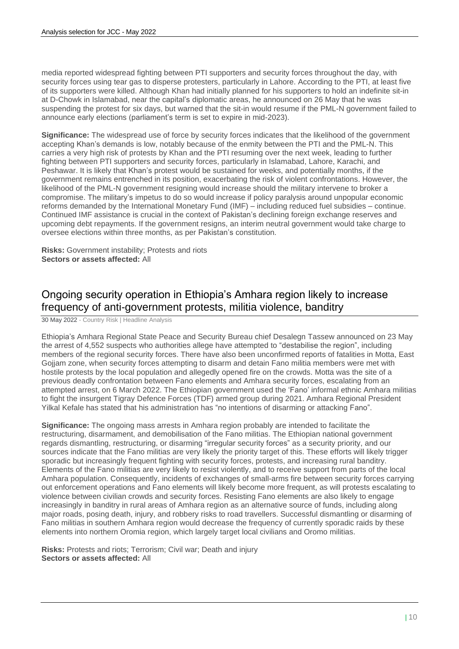media reported widespread fighting between PTI supporters and security forces throughout the day, with security forces using tear gas to disperse protesters, particularly in Lahore. According to the PTI, at least five of its supporters were killed. Although Khan had initially planned for his supporters to hold an indefinite sit-in at D-Chowk in Islamabad, near the capital's diplomatic areas, he announced on 26 May that he was suspending the protest for six days, but warned that the sit-in would resume if the PML-N government failed to announce early elections (parliament's term is set to expire in mid-2023).

**Significance:** The widespread use of force by security forces indicates that the likelihood of the government accepting Khan's demands is low, notably because of the enmity between the PTI and the PML-N. This carries a very high risk of protests by Khan and the PTI resuming over the next week, leading to further fighting between PTI supporters and security forces, particularly in Islamabad, Lahore, Karachi, and Peshawar. It is likely that Khan's protest would be sustained for weeks, and potentially months, if the government remains entrenched in its position, exacerbating the risk of violent confrontations. However, the likelihood of the PML-N government resigning would increase should the military intervene to broker a compromise. The military's impetus to do so would increase if policy paralysis around unpopular economic reforms demanded by the International Monetary Fund (IMF) – including reduced fuel subsidies – continue. Continued IMF assistance is crucial in the context of Pakistan's declining foreign exchange reserves and upcoming debt repayments. If the government resigns, an interim neutral government would take charge to oversee elections within three months, as per Pakistan's constitution.

**Risks:** Government instability; Protests and riots **Sectors or assets affected:** All

## Ongoing security operation in Ethiopia's Amhara region likely to increase frequency of anti-government protests, militia violence, banditry

30 May 2022 - Country Risk | Headline Analysis

Ethiopia's Amhara Regional State Peace and Security Bureau chief Desalegn Tassew announced on 23 May the arrest of 4,552 suspects who authorities allege have attempted to "destabilise the region", including members of the regional security forces. There have also been unconfirmed reports of fatalities in Motta, East Gojjam zone, when security forces attempting to disarm and detain Fano militia members were met with hostile protests by the local population and allegedly opened fire on the crowds. Motta was the site of a previous deadly confrontation between Fano elements and Amhara security forces, escalating from an attempted arrest, on 6 March 2022. The Ethiopian government used the 'Fano' informal ethnic Amhara militias to fight the insurgent Tigray Defence Forces (TDF) armed group during 2021. Amhara Regional President Yilkal Kefale has stated that his administration has "no intentions of disarming or attacking Fano".

**Significance:** The ongoing mass arrests in Amhara region probably are intended to facilitate the restructuring, disarmament, and demobilisation of the Fano militias. The Ethiopian national government regards dismantling, restructuring, or disarming "irregular security forces" as a security priority, and our sources indicate that the Fano militias are very likely the priority target of this. These efforts will likely trigger sporadic but increasingly frequent fighting with security forces, protests, and increasing rural banditry. Elements of the Fano militias are very likely to resist violently, and to receive support from parts of the local Amhara population. Consequently, incidents of exchanges of small-arms fire between security forces carrying out enforcement operations and Fano elements will likely become more frequent, as will protests escalating to violence between civilian crowds and security forces. Resisting Fano elements are also likely to engage increasingly in banditry in rural areas of Amhara region as an alternative source of funds, including along major roads, posing death, injury, and robbery risks to road travellers. Successful dismantling or disarming of Fano militias in southern Amhara region would decrease the frequency of currently sporadic raids by these elements into northern Oromia region, which largely target local civilians and Oromo militias.

**Risks:** Protests and riots; Terrorism; Civil war; Death and injury **Sectors or assets affected:** All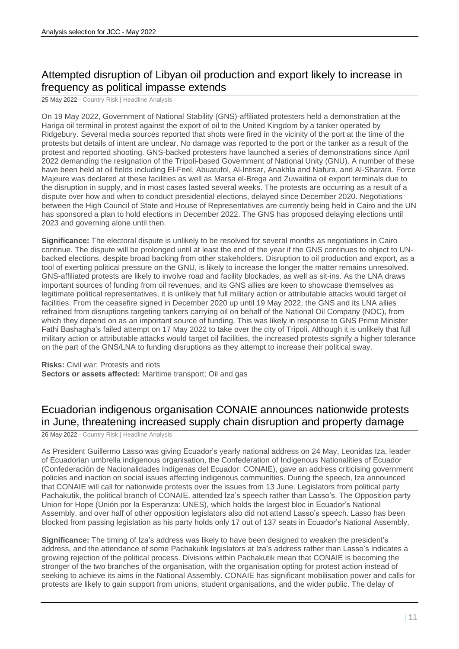# Attempted disruption of Libyan oil production and export likely to increase in frequency as political impasse extends

25 May 2022 - Country Risk | Headline Analysis

On 19 May 2022, Government of National Stability (GNS)-affiliated protesters held a demonstration at the Hariga oil terminal in protest against the export of oil to the United Kingdom by a tanker operated by Ridgebury. Several media sources reported that shots were fired in the vicinity of the port at the time of the protests but details of intent are unclear. No damage was reported to the port or the tanker as a result of the protest and reported shooting. GNS-backed protesters have launched a series of demonstrations since April 2022 demanding the resignation of the Tripoli-based Government of National Unity (GNU). A number of these have been held at oil fields including El-Feel, Abuatufol, Al-Intisar, Anakhla and Nafura, and Al-Sharara. Force Majeure was declared at these facilities as well as Marsa el-Brega and Zuwaitina oil export terminals due to the disruption in supply, and in most cases lasted several weeks. The protests are occurring as a result of a dispute over how and when to conduct presidential elections, delayed since December 2020. Negotiations between the High Council of State and House of Representatives are currently being held in Cairo and the UN has sponsored a plan to hold elections in December 2022. The GNS has proposed delaying elections until 2023 and governing alone until then.

**Significance:** The electoral dispute is unlikely to be resolved for several months as negotiations in Cairo continue. The dispute will be prolonged until at least the end of the year if the GNS continues to object to UNbacked elections, despite broad backing from other stakeholders. Disruption to oil production and export, as a tool of exerting political pressure on the GNU, is likely to increase the longer the matter remains unresolved. GNS-affiliated protests are likely to involve road and facility blockades, as well as sit-ins. As the LNA draws important sources of funding from oil revenues, and its GNS allies are keen to showcase themselves as legitimate political representatives, it is unlikely that full military action or attributable attacks would target oil facilities. From the ceasefire signed in December 2020 up until 19 May 2022, the GNS and its LNA allies refrained from disruptions targeting tankers carrying oil on behalf of the National Oil Company (NOC), from which they depend on as an important source of funding. This was likely in response to GNS Prime Minister Fathi Bashagha's failed attempt on 17 May 2022 to take over the city of Tripoli. Although it is unlikely that full military action or attributable attacks would target oil facilities, the increased protests signify a higher tolerance on the part of the GNS/LNA to funding disruptions as they attempt to increase their political sway.

**Risks:** Civil war; Protests and riots

**Sectors or assets affected:** Maritime transport; Oil and gas

## Ecuadorian indigenous organisation CONAIE announces nationwide protests in June, threatening increased supply chain disruption and property damage

26 May 2022 - Country Risk | Headline Analysis

As President Guillermo Lasso was giving Ecuador's yearly national address on 24 May, Leonidas Iza, leader of Ecuadorian umbrella indigenous organisation, the Confederation of Indigenous Nationalities of Ecuador (Confederación de Nacionalidades Indígenas del Ecuador: CONAIE), gave an address criticising government policies and inaction on social issues affecting indigenous communities. During the speech, Iza announced that CONAIE will call for nationwide protests over the issues from 13 June. Legislators from political party Pachakutik, the political branch of CONAIE, attended Iza's speech rather than Lasso's. The Opposition party Union for Hope (Unión por la Esperanza: UNES), which holds the largest bloc in Ecuador's National Assembly, and over half of other opposition legislators also did not attend Lasso's speech. Lasso has been blocked from passing legislation as his party holds only 17 out of 137 seats in Ecuador's National Assembly.

**Significance:** The timing of Iza's address was likely to have been designed to weaken the president's address, and the attendance of some Pachakutik legislators at Iza's address rather than Lasso's indicates a growing rejection of the political process. Divisions within Pachakutik mean that CONAIE is becoming the stronger of the two branches of the organisation, with the organisation opting for protest action instead of seeking to achieve its aims in the National Assembly. CONAIE has significant mobilisation power and calls for protests are likely to gain support from unions, student organisations, and the wider public. The delay of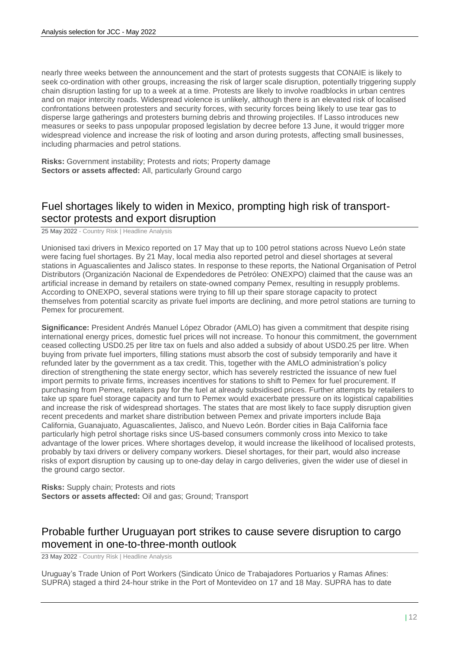nearly three weeks between the announcement and the start of protests suggests that CONAIE is likely to seek co-ordination with other groups, increasing the risk of larger scale disruption, potentially triggering supply chain disruption lasting for up to a week at a time. Protests are likely to involve roadblocks in urban centres and on major intercity roads. Widespread violence is unlikely, although there is an elevated risk of localised confrontations between protesters and security forces, with security forces being likely to use tear gas to disperse large gatherings and protesters burning debris and throwing projectiles. If Lasso introduces new measures or seeks to pass unpopular proposed legislation by decree before 13 June, it would trigger more widespread violence and increase the risk of looting and arson during protests, affecting small businesses, including pharmacies and petrol stations.

**Risks:** Government instability; Protests and riots; Property damage **Sectors or assets affected:** All, particularly Ground cargo

# Fuel shortages likely to widen in Mexico, prompting high risk of transportsector protests and export disruption

25 May 2022 - Country Risk | Headline Analysis

Unionised taxi drivers in Mexico reported on 17 May that up to 100 petrol stations across Nuevo León state were facing fuel shortages. By 21 May, local media also reported petrol and diesel shortages at several stations in Aguascalientes and Jalisco states. In response to these reports, the National Organisation of Petrol Distributors (Organización Nacional de Expendedores de Petróleo: ONEXPO) claimed that the cause was an artificial increase in demand by retailers on state-owned company Pemex, resulting in resupply problems. According to ONEXPO, several stations were trying to fill up their spare storage capacity to protect themselves from potential scarcity as private fuel imports are declining, and more petrol stations are turning to Pemex for procurement.

**Significance:** President Andrés Manuel López Obrador (AMLO) has given a commitment that despite rising international energy prices, domestic fuel prices will not increase. To honour this commitment, the government ceased collecting USD0.25 per litre tax on fuels and also added a subsidy of about USD0.25 per litre. When buying from private fuel importers, filling stations must absorb the cost of subsidy temporarily and have it refunded later by the government as a tax credit. This, together with the AMLO administration's policy direction of strengthening the state energy sector, which has severely restricted the issuance of new fuel import permits to private firms, increases incentives for stations to shift to Pemex for fuel procurement. If purchasing from Pemex, retailers pay for the fuel at already subsidised prices. Further attempts by retailers to take up spare fuel storage capacity and turn to Pemex would exacerbate pressure on its logistical capabilities and increase the risk of widespread shortages. The states that are most likely to face supply disruption given recent precedents and market share distribution between Pemex and private importers include Baja California, Guanajuato, Aguascalientes, Jalisco, and Nuevo León. Border cities in Baja California face particularly high petrol shortage risks since US-based consumers commonly cross into Mexico to take advantage of the lower prices. Where shortages develop, it would increase the likelihood of localised protests, probably by taxi drivers or delivery company workers. Diesel shortages, for their part, would also increase risks of export disruption by causing up to one-day delay in cargo deliveries, given the wider use of diesel in the ground cargo sector.

**Risks:** Supply chain; Protests and riots **Sectors or assets affected:** Oil and gas; Ground; Transport

## Probable further Uruguayan port strikes to cause severe disruption to cargo movement in one-to-three-month outlook

23 May 2022 - Country Risk | Headline Analysis

Uruguay's Trade Union of Port Workers (Sindicato Único de Trabajadores Portuarios y Ramas Afines: SUPRA) staged a third 24-hour strike in the Port of Montevideo on 17 and 18 May. SUPRA has to date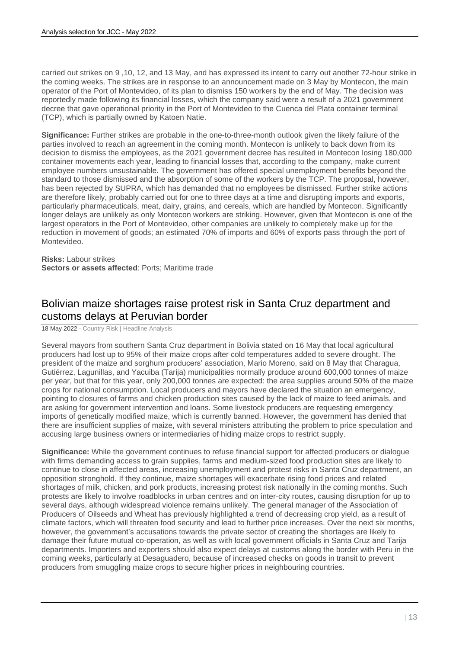carried out strikes on 9 ,10, 12, and 13 May, and has expressed its intent to carry out another 72-hour strike in the coming weeks. The strikes are in response to an announcement made on 3 May by Montecon, the main operator of the Port of Montevideo, of its plan to dismiss 150 workers by the end of May. The decision was reportedly made following its financial losses, which the company said were a result of a 2021 government decree that gave operational priority in the Port of Montevideo to the Cuenca del Plata container terminal (TCP), which is partially owned by Katoen Natie.

**Significance:** Further strikes are probable in the one-to-three-month outlook given the likely failure of the parties involved to reach an agreement in the coming month. Montecon is unlikely to back down from its decision to dismiss the employees, as the 2021 government decree has resulted in Montecon losing 180,000 container movements each year, leading to financial losses that, according to the company, make current employee numbers unsustainable. The government has offered special unemployment benefits beyond the standard to those dismissed and the absorption of some of the workers by the TCP. The proposal, however, has been rejected by SUPRA, which has demanded that no employees be dismissed. Further strike actions are therefore likely, probably carried out for one to three days at a time and disrupting imports and exports, particularly pharmaceuticals, meat, dairy, grains, and cereals, which are handled by Montecon. Significantly longer delays are unlikely as only Montecon workers are striking. However, given that Montecon is one of the largest operators in the Port of Montevideo, other companies are unlikely to completely make up for the reduction in movement of goods; an estimated 70% of imports and 60% of exports pass through the port of Montevideo.

**Risks:** Labour strikes **Sectors or assets affected**: Ports; Maritime trade

## Bolivian maize shortages raise protest risk in Santa Cruz department and customs delays at Peruvian border

18 May 2022 - Country Risk | Headline Analysis

Several mayors from southern Santa Cruz department in Bolivia stated on 16 May that local agricultural producers had lost up to 95% of their maize crops after cold temperatures added to severe drought. The president of the maize and sorghum producers' association, Mario Moreno, said on 8 May that Charagua, Gutiérrez, Lagunillas, and Yacuiba (Tarija) municipalities normally produce around 600,000 tonnes of maize per year, but that for this year, only 200,000 tonnes are expected: the area supplies around 50% of the maize crops for national consumption. Local producers and mayors have declared the situation an emergency, pointing to closures of farms and chicken production sites caused by the lack of maize to feed animals, and are asking for government intervention and loans. Some livestock producers are requesting emergency imports of genetically modified maize, which is currently banned. However, the government has denied that there are insufficient supplies of maize, with several ministers attributing the problem to price speculation and accusing large business owners or intermediaries of hiding maize crops to restrict supply.

**Significance:** While the government continues to refuse financial support for affected producers or dialogue with firms demanding access to grain supplies, farms and medium-sized food production sites are likely to continue to close in affected areas, increasing unemployment and protest risks in Santa Cruz department, an opposition stronghold. If they continue, maize shortages will exacerbate rising food prices and related shortages of milk, chicken, and pork products, increasing protest risk nationally in the coming months. Such protests are likely to involve roadblocks in urban centres and on inter-city routes, causing disruption for up to several days, although widespread violence remains unlikely. The general manager of the Association of Producers of Oilseeds and Wheat has previously highlighted a trend of decreasing crop yield, as a result of climate factors, which will threaten food security and lead to further price increases. Over the next six months, however, the government's accusations towards the private sector of creating the shortages are likely to damage their future mutual co-operation, as well as with local government officials in Santa Cruz and Tarija departments. Importers and exporters should also expect delays at customs along the border with Peru in the coming weeks, particularly at Desaguadero, because of increased checks on goods in transit to prevent producers from smuggling maize crops to secure higher prices in neighbouring countries.